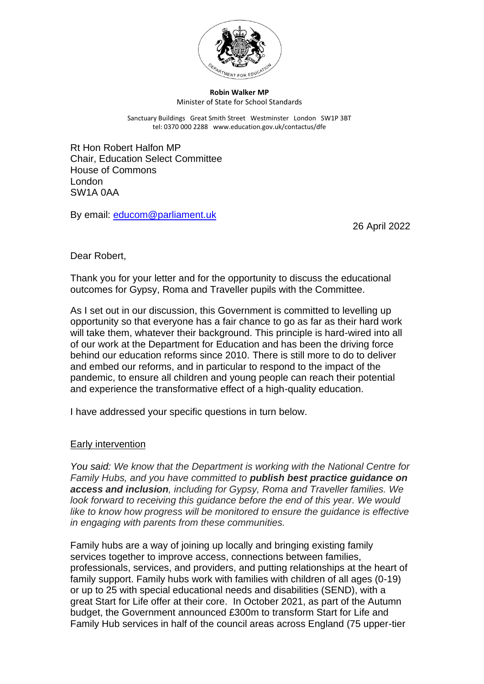

#### **Robin Walker MP** Minister of State for School Standards

Sanctuary Buildings Great Smith Street Westminster London SW1P 3BT tel: 0370 000 2288 www.education.gov.uk/contactus/dfe

Rt Hon Robert Halfon MP Chair, Education Select Committee House of Commons London SW1A 0AA

By email: [educom@parliament.uk](mailto:educom@parliament.uk)

26 April 2022

Dear Robert,

Thank you for your letter and for the opportunity to discuss the educational outcomes for Gypsy, Roma and Traveller pupils with the Committee.

As I set out in our discussion, this Government is committed to levelling up opportunity so that everyone has a fair chance to go as far as their hard work will take them, whatever their background. This principle is hard-wired into all of our work at the Department for Education and has been the driving force behind our education reforms since 2010. There is still more to do to deliver and embed our reforms, and in particular to respond to the impact of the pandemic, to ensure all children and young people can reach their potential and experience the transformative effect of a high-quality education.

I have addressed your specific questions in turn below.

## Early intervention

*You said: We know that the Department is working with the National Centre for Family Hubs, and you have committed to publish best practice guidance on access and inclusion, including for Gypsy, Roma and Traveller families. We look forward to receiving this guidance before the end of this year. We would like to know how progress will be monitored to ensure the guidance is effective in engaging with parents from these communities.*

Family hubs are a way of joining up locally and bringing existing family services together to improve access, connections between families, professionals, services, and providers, and putting relationships at the heart of family support. Family hubs work with families with children of all ages (0-19) or up to 25 with special educational needs and disabilities (SEND), with a great Start for Life offer at their core. In October 2021, as part of the Autumn budget, the Government announced £300m to transform Start for Life and Family Hub services in half of the council areas across England (75 upper-tier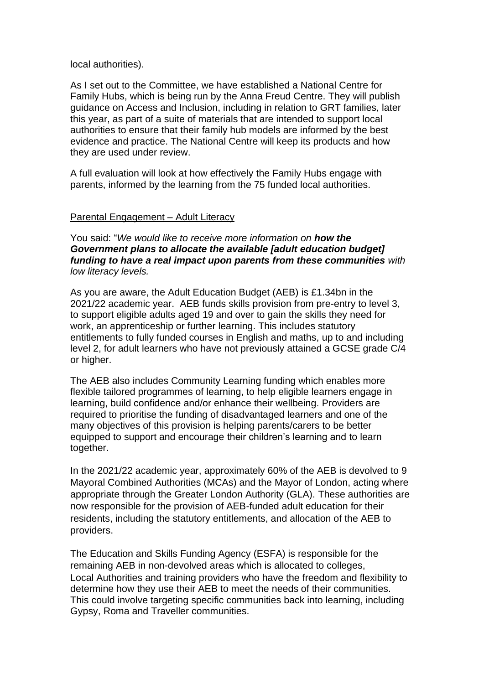### local authorities).

As I set out to the Committee, we have established a National Centre for Family Hubs, which is being run by the Anna Freud Centre. They will publish guidance on Access and Inclusion, including in relation to GRT families, later this year, as part of a suite of materials that are intended to support local authorities to ensure that their family hub models are informed by the best evidence and practice. The National Centre will keep its products and how they are used under review.

A full evaluation will look at how effectively the Family Hubs engage with parents, informed by the learning from the 75 funded local authorities.

## Parental Engagement – Adult Literacy

You said: "*We would like to receive more information on how the Government plans to allocate the available [adult education budget] funding to have a real impact upon parents from these communities with low literacy levels.* 

As you are aware, the Adult Education Budget (AEB) is £1.34bn in the 2021/22 academic year. AEB funds skills provision from pre-entry to level 3, to support eligible adults aged 19 and over to gain the skills they need for work, an apprenticeship or further learning. This includes statutory entitlements to fully funded courses in English and maths, up to and including level 2, for adult learners who have not previously attained a GCSE grade C/4 or higher.

The AEB also includes Community Learning funding which enables more flexible tailored programmes of learning, to help eligible learners engage in learning, build confidence and/or enhance their wellbeing. Providers are required to prioritise the funding of disadvantaged learners and one of the many objectives of this provision is helping parents/carers to be better equipped to support and encourage their children's learning and to learn together.

In the 2021/22 academic year, approximately 60% of the AEB is devolved to 9 Mayoral Combined Authorities (MCAs) and the Mayor of London, acting where appropriate through the Greater London Authority (GLA). These authorities are now responsible for the provision of AEB-funded adult education for their residents, including the statutory entitlements, and allocation of the AEB to providers.

The Education and Skills Funding Agency (ESFA) is responsible for the remaining AEB in non-devolved areas which is allocated to colleges, Local Authorities and training providers who have the freedom and flexibility to determine how they use their AEB to meet the needs of their communities. This could involve targeting specific communities back into learning, including Gypsy, Roma and Traveller communities.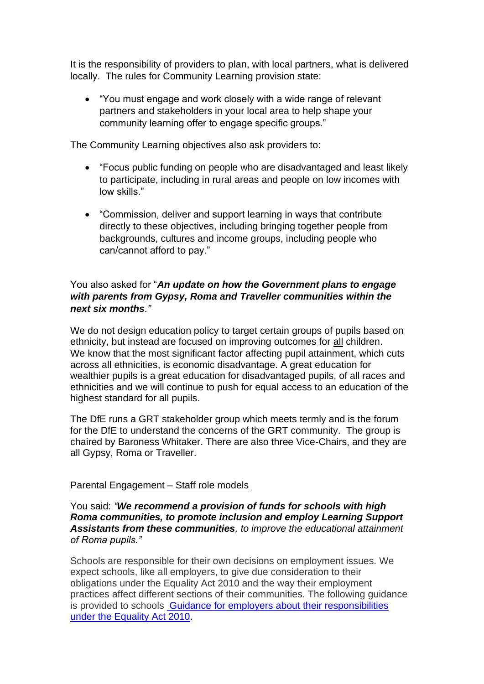It is the responsibility of providers to plan, with local partners, what is delivered locally. The rules for Community Learning provision state:

• "You must engage and work closely with a wide range of relevant partners and stakeholders in your local area to help shape your community learning offer to engage specific groups."

The Community Learning objectives also ask providers to:

- "Focus public funding on people who are disadvantaged and least likely to participate, including in rural areas and people on low incomes with low skills."
- "Commission, deliver and support learning in ways that contribute directly to these objectives, including bringing together people from backgrounds, cultures and income groups, including people who can/cannot afford to pay."

# You also asked for "*An update on how the Government plans to engage with parents from Gypsy, Roma and Traveller communities within the next six months."*

We do not design education policy to target certain groups of pupils based on ethnicity, but instead are focused on improving outcomes for all children. We know that the most significant factor affecting pupil attainment, which cuts across all ethnicities, is economic disadvantage. A great education for wealthier pupils is a great education for disadvantaged pupils, of all races and ethnicities and we will continue to push for equal access to an education of the highest standard for all pupils.

The DfE runs a GRT stakeholder group which meets termly and is the forum for the DfE to understand the concerns of the GRT community. The group is chaired by Baroness Whitaker. There are also three Vice-Chairs, and they are all Gypsy, Roma or Traveller.

# Parental Engagement – Staff role models

## You said: *"We recommend a provision of funds for schools with high Roma communities, to promote inclusion and employ Learning Support Assistants from these communities, to improve the educational attainment of Roma pupils."*

Schools are responsible for their own decisions on employment issues. We expect schools, like all employers, to give due consideration to their obligations under the Equality Act 2010 and the way their employment practices affect different sections of their communities. The following guidance is provided to schools [Guidance for employers about their responsibilities](https://www.equalityhumanrights.com/en/advice-and-guidance/guidance-employers)  [under the Equality Act 2010.](https://www.equalityhumanrights.com/en/advice-and-guidance/guidance-employers)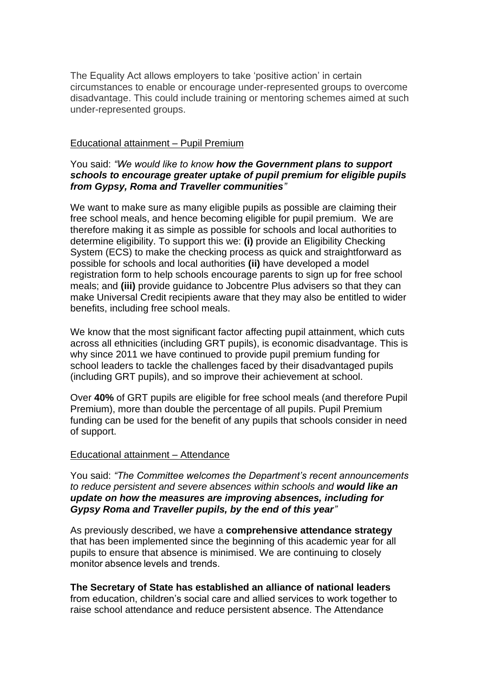The Equality Act allows employers to take 'positive action' in certain circumstances to enable or encourage under-represented groups to overcome disadvantage. This could include training or mentoring schemes aimed at such under-represented groups.

### Educational attainment – Pupil Premium

## You said: *"We would like to know how the Government plans to support schools to encourage greater uptake of pupil premium for eligible pupils from Gypsy, Roma and Traveller communities"*

We want to make sure as many eligible pupils as possible are claiming their free school meals, and hence becoming eligible for pupil premium. We are therefore making it as simple as possible for schools and local authorities to determine eligibility. To support this we: **(i)** provide an Eligibility Checking System (ECS) to make the checking process as quick and straightforward as possible for schools and local authorities **(ii)** have developed a model registration form to help schools encourage parents to sign up for free school meals; and **(iii)** provide guidance to Jobcentre Plus advisers so that they can make Universal Credit recipients aware that they may also be entitled to wider benefits, including free school meals.

We know that the most significant factor affecting pupil attainment, which cuts across all ethnicities (including GRT pupils), is economic disadvantage. This is why since 2011 we have continued to provide pupil premium funding for school leaders to tackle the challenges faced by their disadvantaged pupils (including GRT pupils), and so improve their achievement at school.

Over **40%** of GRT pupils are eligible for free school meals (and therefore Pupil Premium), more than double the percentage of all pupils. Pupil Premium funding can be used for the benefit of any pupils that schools consider in need of support.

#### Educational attainment – Attendance

You said: *"The Committee welcomes the Department's recent announcements to reduce persistent and severe absences within schools and would like an update on how the measures are improving absences, including for Gypsy Roma and Traveller pupils, by the end of this year"*

As previously described, we have a **comprehensive attendance strategy** that has been implemented since the beginning of this academic year for all pupils to ensure that absence is minimised. We are continuing to closely monitor absence levels and trends.

**The Secretary of State has established an alliance of national leaders** from education, children's social care and allied services to work together to raise school attendance and reduce persistent absence. The Attendance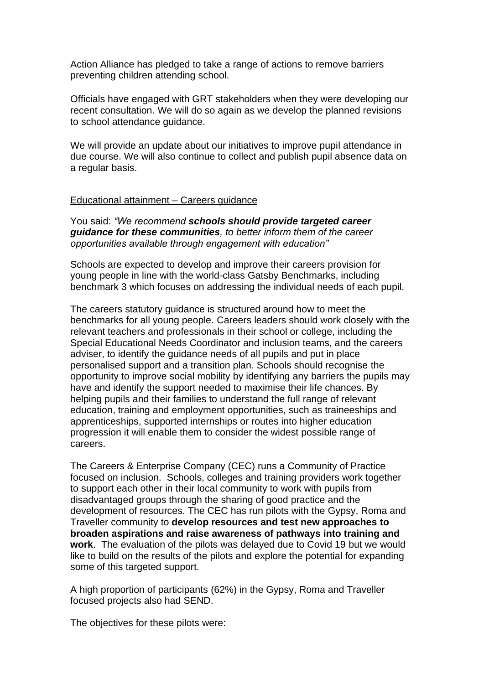Action Alliance has pledged to take a range of actions to remove barriers preventing children attending school.

Officials have engaged with GRT stakeholders when they were developing our recent consultation. We will do so again as we develop the planned revisions to school attendance guidance.

We will provide an update about our initiatives to improve pupil attendance in due course. We will also continue to collect and publish pupil absence data on a regular basis.

#### Educational attainment – Careers guidance

You said: *"We recommend schools should provide targeted career guidance for these communities, to better inform them of the career opportunities available through engagement with education"*

Schools are expected to develop and improve their careers provision for young people in line with the world-class Gatsby Benchmarks, including benchmark 3 which focuses on addressing the individual needs of each pupil.

The careers statutory guidance is structured around how to meet the benchmarks for all young people. Careers leaders should work closely with the relevant teachers and professionals in their school or college, including the Special Educational Needs Coordinator and inclusion teams, and the careers adviser, to identify the guidance needs of all pupils and put in place personalised support and a transition plan. Schools should recognise the opportunity to improve social mobility by identifying any barriers the pupils may have and identify the support needed to maximise their life chances. By helping pupils and their families to understand the full range of relevant education, training and employment opportunities, such as traineeships and apprenticeships, supported internships or routes into higher education progression it will enable them to consider the widest possible range of careers.

The Careers & Enterprise Company (CEC) runs a Community of Practice focused on inclusion. Schools, colleges and training providers work together to support each other in their local community to work with pupils from disadvantaged groups through the sharing of good practice and the development of resources. The CEC has run pilots with the Gypsy, Roma and Traveller community to **develop resources and test new approaches to broaden aspirations and raise awareness of pathways into training and work**. The evaluation of the pilots was delayed due to Covid 19 but we would like to build on the results of the pilots and explore the potential for expanding some of this targeted support.

A high proportion of participants (62%) in the Gypsy, Roma and Traveller focused projects also had SEND.

The objectives for these pilots were: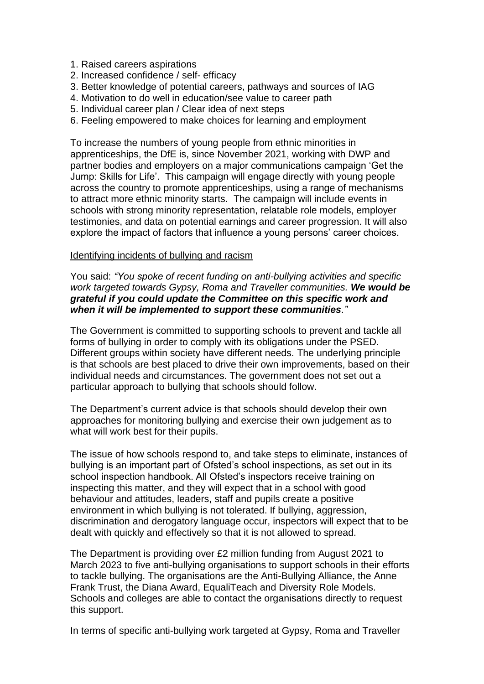- 1. Raised careers aspirations
- 2. Increased confidence / self- efficacy
- 3. Better knowledge of potential careers, pathways and sources of IAG
- 4. Motivation to do well in education/see value to career path
- 5. Individual career plan / Clear idea of next steps
- 6. Feeling empowered to make choices for learning and employment

To increase the numbers of young people from ethnic minorities in apprenticeships, the DfE is, since November 2021, working with DWP and partner bodies and employers on a major communications campaign 'Get the Jump: Skills for Life'. This campaign will engage directly with young people across the country to promote apprenticeships, using a range of mechanisms to attract more ethnic minority starts. The campaign will include events in schools with strong minority representation, relatable role models, employer testimonies, and data on potential earnings and career progression. It will also explore the impact of factors that influence a young persons' career choices.

### Identifying incidents of bullying and racism

You said: *"You spoke of recent funding on anti-bullying activities and specific work targeted towards Gypsy, Roma and Traveller communities. We would be grateful if you could update the Committee on this specific work and when it will be implemented to support these communities."*

The Government is committed to supporting schools to prevent and tackle all forms of bullying in order to comply with its obligations under the PSED. Different groups within society have different needs. The underlying principle is that schools are best placed to drive their own improvements, based on their individual needs and circumstances. The government does not set out a particular approach to bullying that schools should follow.

The Department's current advice is that schools should develop their own approaches for monitoring bullying and exercise their own judgement as to what will work best for their pupils.

The issue of how schools respond to, and take steps to eliminate, instances of bullying is an important part of Ofsted's school inspections, as set out in its school inspection handbook. All Ofsted's inspectors receive training on inspecting this matter, and they will expect that in a school with good behaviour and attitudes, leaders, staff and pupils create a positive environment in which bullying is not tolerated. If bullying, aggression, discrimination and derogatory language occur, inspectors will expect that to be dealt with quickly and effectively so that it is not allowed to spread.

The Department is providing over £2 million funding from August 2021 to March 2023 to five anti-bullying organisations to support schools in their efforts to tackle bullying. The organisations are the Anti-Bullying Alliance, the Anne Frank Trust, the Diana Award, EqualiTeach and Diversity Role Models. Schools and colleges are able to contact the organisations directly to request this support.

In terms of specific anti-bullying work targeted at Gypsy, Roma and Traveller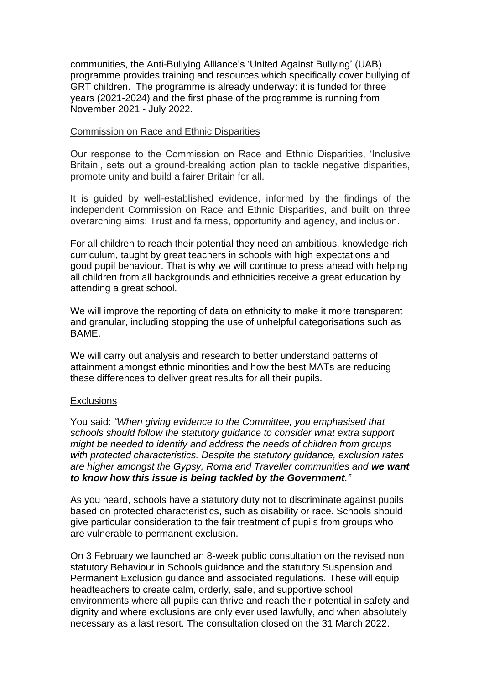communities, the Anti-Bullying Alliance's 'United Against Bullying' (UAB) programme provides training and resources which specifically cover bullying of GRT children. The programme is already underway: it is funded for three years (2021-2024) and the first phase of the programme is running from November 2021 - July 2022.

#### Commission on Race and Ethnic Disparities

Our response to the Commission on Race and Ethnic Disparities, 'Inclusive Britain'. sets out a ground-breaking action plan to tackle negative disparities, promote unity and build a fairer Britain for all.

It is guided by well-established evidence, informed by the findings of the independent Commission on Race and Ethnic Disparities, and built on three overarching aims: Trust and fairness, opportunity and agency, and inclusion.

For all children to reach their potential they need an ambitious, knowledge-rich curriculum, taught by great teachers in schools with high expectations and good pupil behaviour. That is why we will continue to press ahead with helping all children from all backgrounds and ethnicities receive a great education by attending a great school.

We will improve the reporting of data on ethnicity to make it more transparent and granular, including stopping the use of unhelpful categorisations such as BAME.

We will carry out analysis and research to better understand patterns of attainment amongst ethnic minorities and how the best MATs are reducing these differences to deliver great results for all their pupils.

#### **Exclusions**

You said: *"When giving evidence to the Committee, you emphasised that schools should follow the statutory guidance to consider what extra support might be needed to identify and address the needs of children from groups with protected characteristics. Despite the statutory guidance, exclusion rates are higher amongst the Gypsy, Roma and Traveller communities and we want to know how this issue is being tackled by the Government."*

As you heard, schools have a statutory duty not to discriminate against pupils based on protected characteristics, such as disability or race. Schools should give particular consideration to the fair treatment of pupils from groups who are vulnerable to permanent exclusion.

On 3 February we launched an 8-week public consultation on the revised non statutory Behaviour in Schools guidance and the statutory Suspension and Permanent Exclusion guidance and associated regulations. These will equip headteachers to create calm, orderly, safe, and supportive school environments where all pupils can thrive and reach their potential in safety and dignity and where exclusions are only ever used lawfully, and when absolutely necessary as a last resort. The consultation closed on the 31 March 2022.